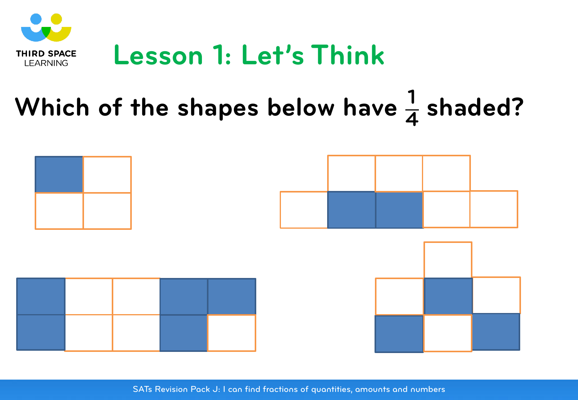

#### Which of the shapes below have  $\frac{1}{4}$ **<sup>4</sup> shaded?**

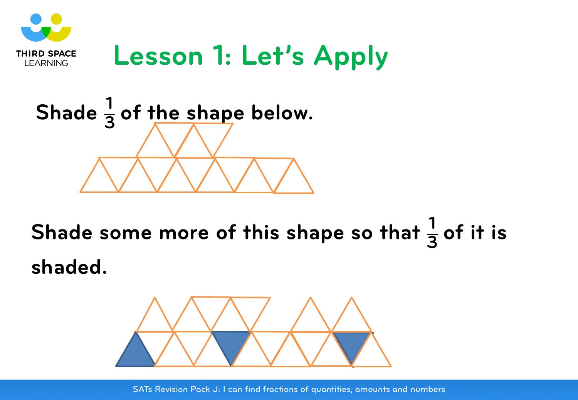

## **Lesson 1: Let's Apply**



**Shade some more of this shape so that <sup>1</sup>**  $\frac{1}{3}$  of it is **shaded.**

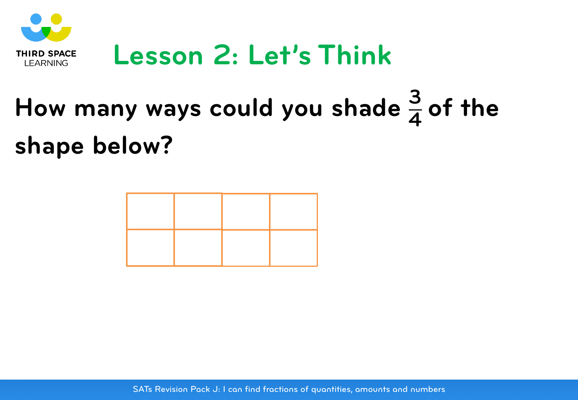

## **Lesson 2: Let's Think**

### **How many ways could you shade 3**  $\frac{3}{4}$  of the **shape below?**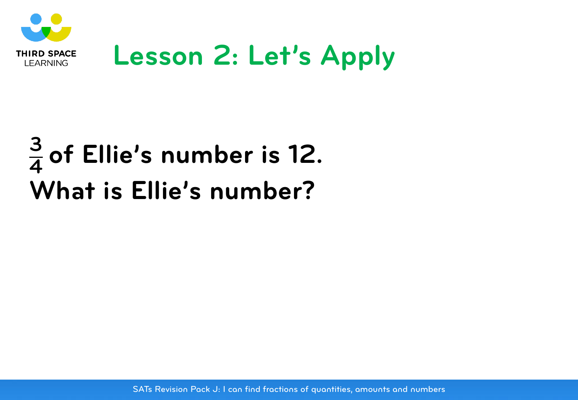

## **Lesson 2: Let's Apply**

#### **3 <sup>4</sup> of Ellie's number is 12. What is Ellie's number?**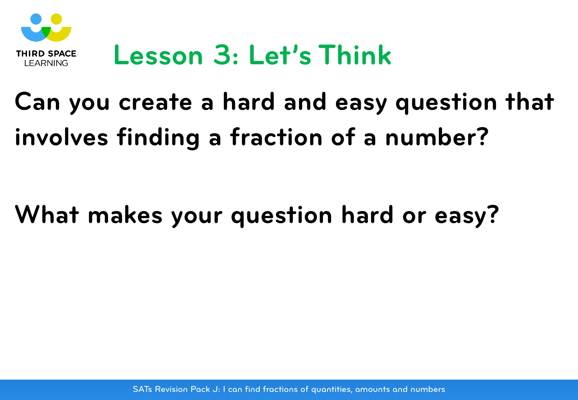

## **Lesson 3: Let's Think**

## **Can you create a hard and easy question that involves finding a fraction of a number?**

### **What makes your question hard or easy?**